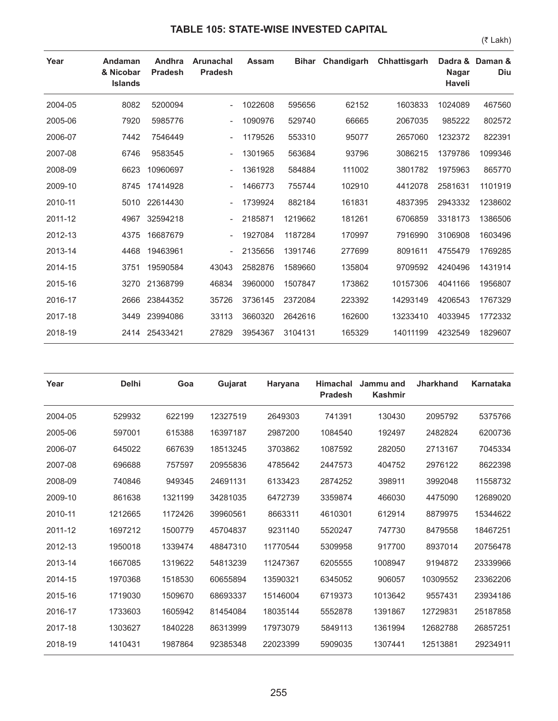## **TABLE 105: STATE-WISE INVESTED CAPITAL**

(₹ Lakh)

| Year    | Andaman<br>& Nicobar<br><b>Islands</b> | Andhra<br><b>Pradesh</b> | Arunachal<br><b>Pradesh</b> | <b>Assam</b> | <b>Bihar</b> | Chandigarh | Chhattisgarh | Dadra &<br><b>Nagar</b><br><b>Haveli</b> | Daman &<br>Diu |
|---------|----------------------------------------|--------------------------|-----------------------------|--------------|--------------|------------|--------------|------------------------------------------|----------------|
| 2004-05 | 8082                                   | 5200094                  |                             | 1022608      | 595656       | 62152      | 1603833      | 1024089                                  | 467560         |
| 2005-06 | 7920                                   | 5985776                  |                             | 1090976      | 529740       | 66665      | 2067035      | 985222                                   | 802572         |
| 2006-07 | 7442                                   | 7546449                  |                             | 1179526      | 553310       | 95077      | 2657060      | 1232372                                  | 822391         |
| 2007-08 | 6746                                   | 9583545                  |                             | 1301965      | 563684       | 93796      | 3086215      | 1379786                                  | 1099346        |
| 2008-09 | 6623                                   | 10960697                 |                             | 1361928      | 584884       | 111002     | 3801782      | 1975963                                  | 865770         |
| 2009-10 | 8745                                   | 17414928                 |                             | 1466773      | 755744       | 102910     | 4412078      | 2581631                                  | 1101919        |
| 2010-11 | 5010                                   | 22614430                 |                             | 1739924      | 882184       | 161831     | 4837395      | 2943332                                  | 1238602        |
| 2011-12 | 4967                                   | 32594218                 |                             | 2185871      | 1219662      | 181261     | 6706859      | 3318173                                  | 1386506        |
| 2012-13 | 4375                                   | 16687679                 |                             | 1927084      | 1187284      | 170997     | 7916990      | 3106908                                  | 1603496        |
| 2013-14 | 4468                                   | 19463961                 |                             | 2135656      | 1391746      | 277699     | 8091611      | 4755479                                  | 1769285        |
| 2014-15 | 3751                                   | 19590584                 | 43043                       | 2582876      | 1589660      | 135804     | 9709592      | 4240496                                  | 1431914        |
| 2015-16 | 3270                                   | 21368799                 | 46834                       | 3960000      | 1507847      | 173862     | 10157306     | 4041166                                  | 1956807        |
| 2016-17 | 2666                                   | 23844352                 | 35726                       | 3736145      | 2372084      | 223392     | 14293149     | 4206543                                  | 1767329        |
| 2017-18 | 3449                                   | 23994086                 | 33113                       | 3660320      | 2642616      | 162600     | 13233410     | 4033945                                  | 1772332        |
| 2018-19 | 2414                                   | 25433421                 | 27829                       | 3954367      | 3104131      | 165329     | 14011199     | 4232549                                  | 1829607        |

| Year    | <b>Delhi</b> | Goa     | Gujarat  | Haryana  | <b>Himachal</b><br><b>Pradesh</b> | Jammu and<br><b>Kashmir</b> | <b>Jharkhand</b> | <b>Karnataka</b> |
|---------|--------------|---------|----------|----------|-----------------------------------|-----------------------------|------------------|------------------|
| 2004-05 | 529932       | 622199  | 12327519 | 2649303  | 741391                            | 130430                      | 2095792          | 5375766          |
| 2005-06 | 597001       | 615388  | 16397187 | 2987200  | 1084540                           | 192497                      | 2482824          | 6200736          |
| 2006-07 | 645022       | 667639  | 18513245 | 3703862  | 1087592                           | 282050                      | 2713167          | 7045334          |
| 2007-08 | 696688       | 757597  | 20955836 | 4785642  | 2447573                           | 404752                      | 2976122          | 8622398          |
| 2008-09 | 740846       | 949345  | 24691131 | 6133423  | 2874252                           | 398911                      | 3992048          | 11558732         |
| 2009-10 | 861638       | 1321199 | 34281035 | 6472739  | 3359874                           | 466030                      | 4475090          | 12689020         |
| 2010-11 | 1212665      | 1172426 | 39960561 | 8663311  | 4610301                           | 612914                      | 8879975          | 15344622         |
| 2011-12 | 1697212      | 1500779 | 45704837 | 9231140  | 5520247                           | 747730                      | 8479558          | 18467251         |
| 2012-13 | 1950018      | 1339474 | 48847310 | 11770544 | 5309958                           | 917700                      | 8937014          | 20756478         |
| 2013-14 | 1667085      | 1319622 | 54813239 | 11247367 | 6205555                           | 1008947                     | 9194872          | 23339966         |
| 2014-15 | 1970368      | 1518530 | 60655894 | 13590321 | 6345052                           | 906057                      | 10309552         | 23362206         |
| 2015-16 | 1719030      | 1509670 | 68693337 | 15146004 | 6719373                           | 1013642                     | 9557431          | 23934186         |
| 2016-17 | 1733603      | 1605942 | 81454084 | 18035144 | 5552878                           | 1391867                     | 12729831         | 25187858         |
| 2017-18 | 1303627      | 1840228 | 86313999 | 17973079 | 5849113                           | 1361994                     | 12682788         | 26857251         |
| 2018-19 | 1410431      | 1987864 | 92385348 | 22023399 | 5909035                           | 1307441                     | 12513881         | 29234911         |